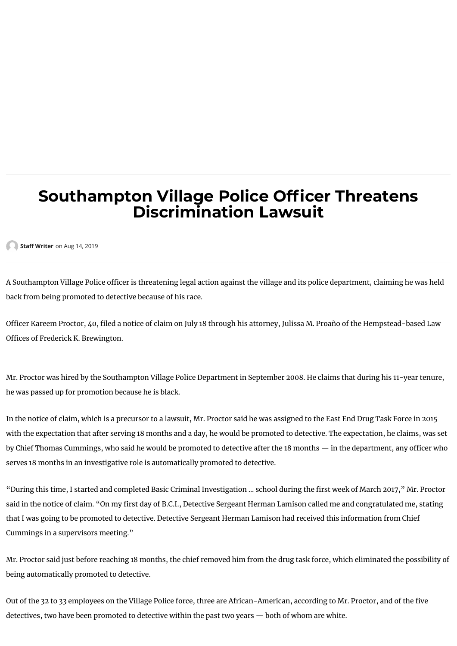## **Southampton Village Police Officer Threatens Discrimination Lawsuit**

**Staff Writer** [on Aug 14, 2019](mailto:staffwriter@27east.com?subject=Southampton%20Village%20Police%20Officer%20Threatens%20Discrimination%20Lawsuit)

A Southampton Village Police officer is threatening legal action against the village and its police department, claiming he was held back from being promoted to detective because of his race.

Officer Kareem Proctor, 40, filed a notice of claim on July 18 through his attorney, Julissa M. Proaño of the Hempstead-based Law Offices of Frederick K. Brewington.

Mr. Proctor was hired by the Southampton Village Police Department in September 2008. He claims that during his 11-year tenure, he was passed up for promotion because he is black.

In the notice of claim, which is a precursor to a lawsuit, Mr. Proctor said he was assigned to the East End Drug Task Force in 2015 with the expectation that after serving 18 months and a day, he would be promoted to detective. The expectation, he claims, was set by Chief Thomas Cummings, who said he would be promoted to detective after the 18 months  $-$  in the department, any officer who serves 18 months in an investigative role is automatically promoted to detective.

"During this time, I started and completed Basic Criminal Investigation ... school during the first week of March 2017," Mr. Proctor said in the notice of claim. "On my first day of B.C.I., Detective Sergeant Herman Lamison called me and congratulated me, stating that I was going to be promoted to detective. Detective Sergeant Herman Lamison had received this information from Chief Cummings in a supervisors meeting."

Mr. Proctor said just before reaching 18 months, the chief removed him from the drug task force, which eliminated the possibility of being automatically promoted to detective.

Out of the 32 to 33 employees on the Village Police force, three are African-American, according to Mr. Proctor, and of the five detectives, two have been promoted to detective within the past two years — both of whom are white.